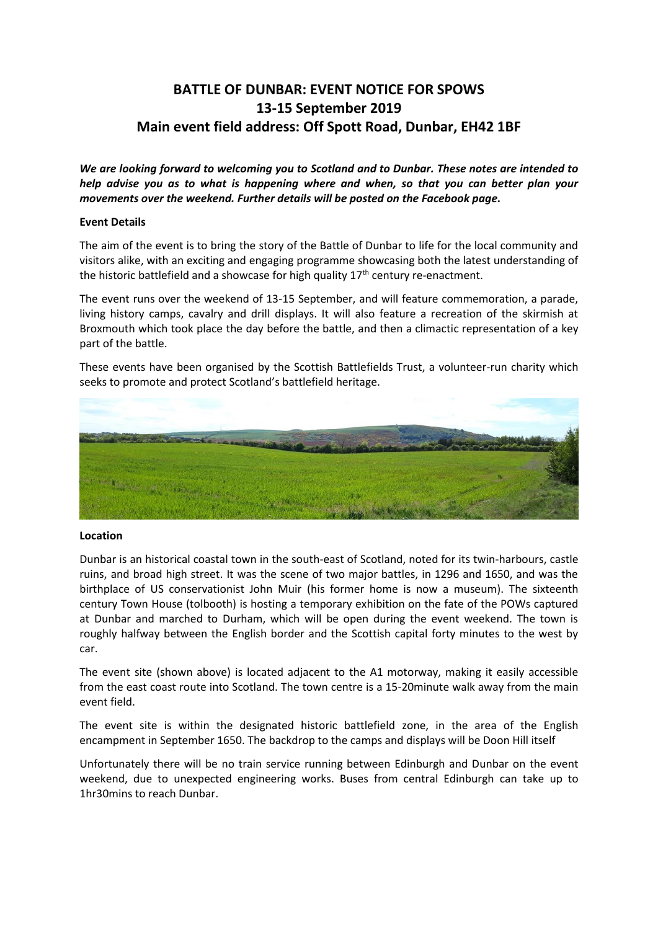# **BATTLE OF DUNBAR: EVENT NOTICE FOR SPOWS 13-15 September 2019 Main event field address: Off Spott Road, Dunbar, EH42 1BF**

*We are looking forward to welcoming you to Scotland and to Dunbar. These notes are intended to help advise you as to what is happening where and when, so that you can better plan your movements over the weekend. Further details will be posted on the Facebook page.*

## **Event Details**

The aim of the event is to bring the story of the Battle of Dunbar to life for the local community and visitors alike, with an exciting and engaging programme showcasing both the latest understanding of the historic battlefield and a showcase for high quality  $17<sup>th</sup>$  century re-enactment.

The event runs over the weekend of 13-15 September, and will feature commemoration, a parade, living history camps, cavalry and drill displays. It will also feature a recreation of the skirmish at Broxmouth which took place the day before the battle, and then a climactic representation of a key part of the battle.

These events have been organised by the Scottish Battlefields Trust, a volunteer-run charity which seeks to promote and protect Scotland's battlefield heritage.



#### **Location**

Dunbar is an historical coastal town in the south-east of Scotland, noted for its twin-harbours, castle ruins, and broad high street. It was the scene of two major battles, in 1296 and 1650, and was the birthplace of US conservationist John Muir (his former home is now a museum). The sixteenth century Town House (tolbooth) is hosting a temporary exhibition on the fate of the POWs captured at Dunbar and marched to Durham, which will be open during the event weekend. The town is roughly halfway between the English border and the Scottish capital forty minutes to the west by car.

The event site (shown above) is located adjacent to the A1 motorway, making it easily accessible from the east coast route into Scotland. The town centre is a 15-20minute walk away from the main event field.

The event site is within the designated historic battlefield zone, in the area of the English encampment in September 1650. The backdrop to the camps and displays will be Doon Hill itself

Unfortunately there will be no train service running between Edinburgh and Dunbar on the event weekend, due to unexpected engineering works. Buses from central Edinburgh can take up to 1hr30mins to reach Dunbar.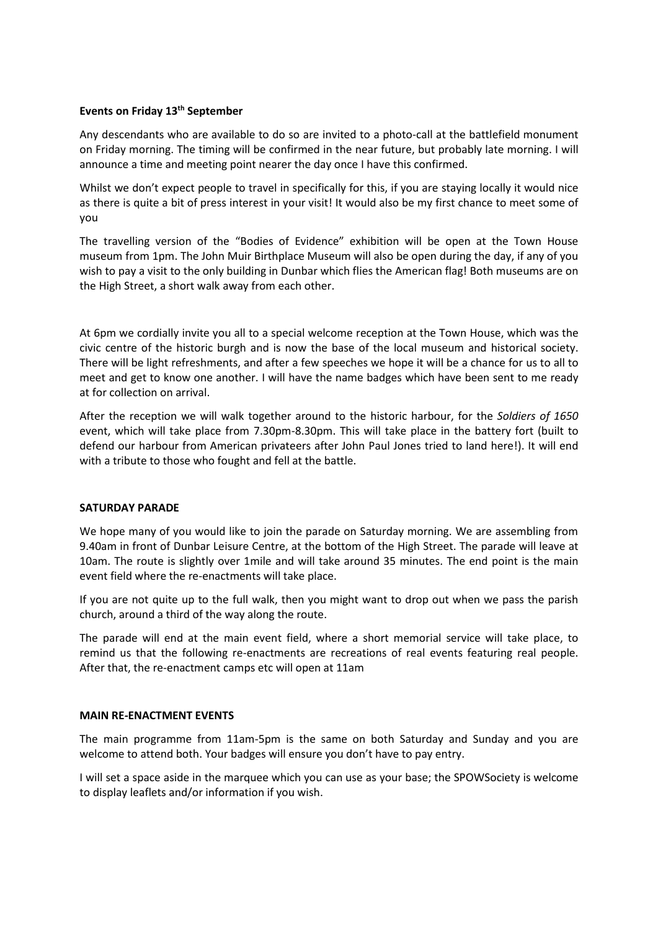## **Events on Friday 13th September**

Any descendants who are available to do so are invited to a photo-call at the battlefield monument on Friday morning. The timing will be confirmed in the near future, but probably late morning. I will announce a time and meeting point nearer the day once I have this confirmed.

Whilst we don't expect people to travel in specifically for this, if you are staying locally it would nice as there is quite a bit of press interest in your visit! It would also be my first chance to meet some of you

The travelling version of the "Bodies of Evidence" exhibition will be open at the Town House museum from 1pm. The John Muir Birthplace Museum will also be open during the day, if any of you wish to pay a visit to the only building in Dunbar which flies the American flag! Both museums are on the High Street, a short walk away from each other.

At 6pm we cordially invite you all to a special welcome reception at the Town House, which was the civic centre of the historic burgh and is now the base of the local museum and historical society. There will be light refreshments, and after a few speeches we hope it will be a chance for us to all to meet and get to know one another. I will have the name badges which have been sent to me ready at for collection on arrival.

After the reception we will walk together around to the historic harbour, for the *Soldiers of 1650* event, which will take place from 7.30pm-8.30pm. This will take place in the battery fort (built to defend our harbour from American privateers after John Paul Jones tried to land here!). It will end with a tribute to those who fought and fell at the battle.

#### **SATURDAY PARADE**

We hope many of you would like to join the parade on Saturday morning. We are assembling from 9.40am in front of Dunbar Leisure Centre, at the bottom of the High Street. The parade will leave at 10am. The route is slightly over 1mile and will take around 35 minutes. The end point is the main event field where the re-enactments will take place.

If you are not quite up to the full walk, then you might want to drop out when we pass the parish church, around a third of the way along the route.

The parade will end at the main event field, where a short memorial service will take place, to remind us that the following re-enactments are recreations of real events featuring real people. After that, the re-enactment camps etc will open at 11am

#### **MAIN RE-ENACTMENT EVENTS**

The main programme from 11am-5pm is the same on both Saturday and Sunday and you are welcome to attend both. Your badges will ensure you don't have to pay entry.

I will set a space aside in the marquee which you can use as your base; the SPOWSociety is welcome to display leaflets and/or information if you wish.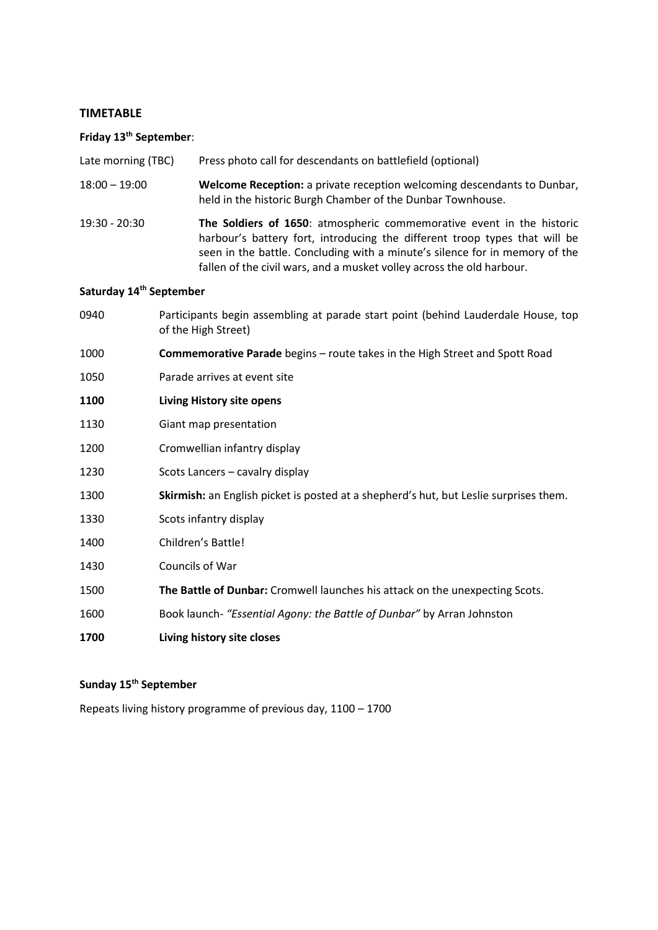#### **TIMETABLE**

#### **Friday 13th September**:

- Late morning (TBC) Press photo call for descendants on battlefield (optional)
- 18:00 19:00 **Welcome Reception:** a private reception welcoming descendants to Dunbar, held in the historic Burgh Chamber of the Dunbar Townhouse.
- 19:30 20:30 **The Soldiers of 1650**: atmospheric commemorative event in the historic harbour's battery fort, introducing the different troop types that will be seen in the battle. Concluding with a minute's silence for in memory of the fallen of the civil wars, and a musket volley across the old harbour.

#### **Saturday 14th September**

- 0940 Participants begin assembling at parade start point (behind Lauderdale House, top of the High Street) 1000 **Commemorative Parade** begins – route takes in the High Street and Spott Road 1050 Parade arrives at event site **1100 Living History site opens** 1130 Giant map presentation 1200 Cromwellian infantry display 1230 Scots Lancers – cavalry display 1300 **Skirmish:** an English picket is posted at a shepherd's hut, but Leslie surprises them.
- 1330 Scots infantry display
- 1400 Children's Battle!
- 1430 Councils of War
- 1500 **The Battle of Dunbar:** Cromwell launches his attack on the unexpecting Scots.
- 1600 Book launch- *"Essential Agony: the Battle of Dunbar"* by Arran Johnston
- **1700 Living history site closes**

## **Sunday 15th September**

Repeats living history programme of previous day, 1100 – 1700